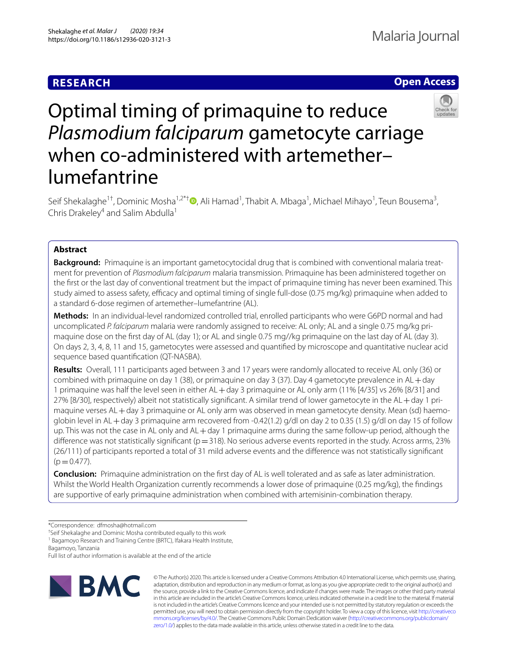# **RESEARCH**



# Optimal timing of primaquine to reduce *Plasmodium falciparum* gametocyte carriage when co-administered with artemether– lumefantrine

Seif Shekalaghe<sup>1†</sup>[,](http://orcid.org/0000-0001-7258-9289) Dominic Mosha<sup>1,2\*†</sup>®, Ali Hamad<sup>1</sup>, Thabit A. Mbaga<sup>1</sup>, Michael Mihayo<sup>1</sup>, Teun Bousema<sup>3</sup>, Chris Drakeley<sup>4</sup> and Salim Abdulla<sup>1</sup>

# **Abstract**

**Background:** Primaquine is an important gametocytocidal drug that is combined with conventional malaria treatment for prevention of *Plasmodium falciparum* malaria transmission. Primaquine has been administered together on the frst or the last day of conventional treatment but the impact of primaquine timing has never been examined. This study aimed to assess safety, efficacy and optimal timing of single full-dose (0.75 mg/kg) primaquine when added to a standard 6-dose regimen of artemether–lumefantrine (AL).

**Methods:** In an individual-level randomized controlled trial, enrolled participants who were G6PD normal and had uncomplicated *P. falciparum* malaria were randomly assigned to receive: AL only; AL and a single 0.75 mg/kg primaquine dose on the frst day of AL (day 1); or AL and single 0.75 mg//kg primaquine on the last day of AL (day 3). On days 2, 3, 4, 8, 11 and 15, gametocytes were assessed and quantifed by microscope and quantitative nuclear acid sequence based quantifcation (QT-NASBA).

**Results:** Overall, 111 participants aged between 3 and 17 years were randomly allocated to receive AL only (36) or combined with primaquine on day 1 (38), or primaquine on day 3 (37). Day 4 gametocyte prevalence in AL+day 1 primaquine was half the level seen in either AL+day 3 primaquine or AL only arm (11% [4/35] vs 26% [8/31] and 27% [8/30], respectively) albeit not statistically signifcant. A similar trend of lower gametocyte in the AL+day 1 primaquine verses AL+day 3 primaquine or AL only arm was observed in mean gametocyte density. Mean (sd) haemoglobin level in AL + day 3 primaquine arm recovered from -0.42(1.2) g/dl on day 2 to 0.35 (1.5) g/dl on day 15 of follow up. This was not the case in AL only and AL+day 1 primaquine arms during the same follow-up period, although the difference was not statistically significant ( $p=318$ ). No serious adverse events reported in the study. Across arms, 23% (26/111) of participants reported a total of 31 mild adverse events and the diference was not statistically signifcant  $(p=0.477)$ .

**Conclusion:** Primaquine administration on the frst day of AL is well tolerated and as safe as later administration. Whilst the World Health Organization currently recommends a lower dose of primaquine (0.25 mg/kg), the fndings are supportive of early primaquine administration when combined with artemisinin-combination therapy.

\*Correspondence: dfmosha@hotmail.com

† Seif Shekalaghe and Dominic Mosha contributed equally to this work

<sup>1</sup> Bagamoyo Research and Training Centre (BRTC), Ifakara Health Institute,

Bagamoyo, Tanzania

Full list of author information is available at the end of the article



© The Author(s) 2020. This article is licensed under a Creative Commons Attribution 4.0 International License, which permits use, sharing, adaptation, distribution and reproduction in any medium or format, as long as you give appropriate credit to the original author(s) and the source, provide a link to the Creative Commons licence, and indicate if changes were made. The images or other third party material in this article are included in the article's Creative Commons licence, unless indicated otherwise in a credit line to the material. If material is not included in the article's Creative Commons licence and your intended use is not permitted by statutory regulation or exceeds the permitted use, you will need to obtain permission directly from the copyright holder. To view a copy of this licence, visit [http://creativeco](http://creativecommons.org/licenses/by/4.0/) [mmons.org/licenses/by/4.0/.](http://creativecommons.org/licenses/by/4.0/) The Creative Commons Public Domain Dedication waiver ([http://creativecommons.org/publicdomain/](http://creativecommons.org/publicdomain/zero/1.0/) [zero/1.0/\)](http://creativecommons.org/publicdomain/zero/1.0/) applies to the data made available in this article, unless otherwise stated in a credit line to the data.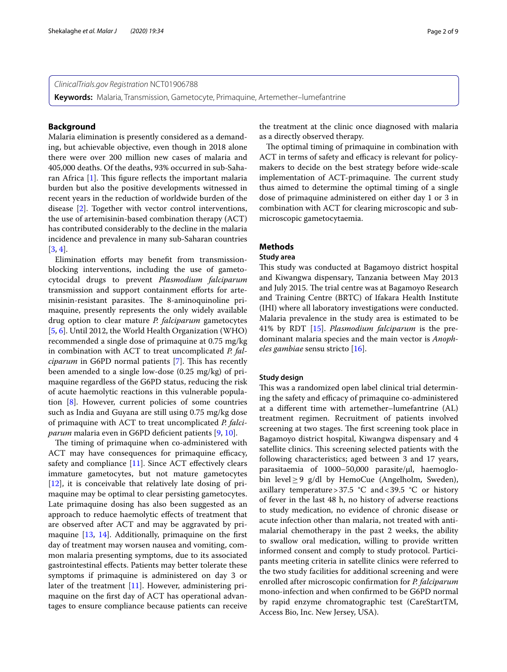**Keywords:** Malaria, Transmission, Gametocyte, Primaquine, Artemether–lumefantrine

# **Background**

Malaria elimination is presently considered as a demanding, but achievable objective, even though in 2018 alone there were over 200 million new cases of malaria and 405,000 deaths. Of the deaths, 93% occurred in sub-Saharan Africa  $[1]$  $[1]$ . This figure reflects the important malaria burden but also the positive developments witnessed in recent years in the reduction of worldwide burden of the disease [\[2](#page-7-1)]. Together with vector control interventions, the use of artemisinin-based combination therapy (ACT) has contributed considerably to the decline in the malaria incidence and prevalence in many sub-Saharan countries [[3,](#page-7-2) [4](#page-7-3)].

Elimination efforts may benefit from transmissionblocking interventions, including the use of gametocytocidal drugs to prevent *Plasmodium falciparum* transmission and support containment eforts for artemisinin-resistant parasites. The 8-aminoquinoline primaquine, presently represents the only widely available drug option to clear mature *P. falciparum* gametocytes [[5,](#page-7-4) [6](#page-7-5)]. Until 2012, the World Health Organization (WHO) recommended a single dose of primaquine at 0.75 mg/kg in combination with ACT to treat uncomplicated *P. falciparum* in G6PD normal patients [\[7](#page-7-6)]. This has recently been amended to a single low-dose (0.25 mg/kg) of primaquine regardless of the G6PD status, reducing the risk of acute haemolytic reactions in this vulnerable population [\[8](#page-7-7)]. However, current policies of some countries such as India and Guyana are still using 0.75 mg/kg dose of primaquine with ACT to treat uncomplicated *P. falciparum* malaria even in G6PD deficient patients [[9](#page-7-8), [10\]](#page-7-9).

The timing of primaquine when co-administered with ACT may have consequences for primaquine efficacy, safety and compliance [\[11](#page-7-10)]. Since ACT effectively clears immature gametocytes, but not mature gametocytes [[12\]](#page-7-11), it is conceivable that relatively late dosing of primaquine may be optimal to clear persisting gametocytes. Late primaquine dosing has also been suggested as an approach to reduce haemolytic efects of treatment that are observed after ACT and may be aggravated by primaquine [[13](#page-8-0), [14\]](#page-8-1). Additionally, primaquine on the frst day of treatment may worsen nausea and vomiting, common malaria presenting symptoms, due to its associated gastrointestinal efects. Patients may better tolerate these symptoms if primaquine is administered on day 3 or later of the treatment [[11\]](#page-7-10). However, administering primaquine on the frst day of ACT has operational advantages to ensure compliance because patients can receive the treatment at the clinic once diagnosed with malaria as a directly observed therapy.

The optimal timing of primaquine in combination with ACT in terms of safety and efficacy is relevant for policymakers to decide on the best strategy before wide-scale implementation of ACT-primaquine. The current study thus aimed to determine the optimal timing of a single dose of primaquine administered on either day 1 or 3 in combination with ACT for clearing microscopic and submicroscopic gametocytaemia.

# **Methods**

# **Study area**

This study was conducted at Bagamoyo district hospital and Kiwangwa dispensary, Tanzania between May 2013 and July 2015. The trial centre was at Bagamoyo Research and Training Centre (BRTC) of Ifakara Health Institute (IHI) where all laboratory investigations were conducted. Malaria prevalence in the study area is estimated to be 41% by RDT [[15](#page-8-2)]. *Plasmodium falciparum* is the predominant malaria species and the main vector is *Anopheles gambiae* sensu stricto [[16\]](#page-8-3).

#### **Study design**

This was a randomized open label clinical trial determining the safety and efficacy of primaquine co-administered at a diferent time with artemether–lumefantrine (AL) treatment regimen. Recruitment of patients involved screening at two stages. The first screening took place in Bagamoyo district hospital, Kiwangwa dispensary and 4 satellite clinics. This screening selected patients with the following characteristics; aged between 3 and 17 years, parasitaemia of 1000–50,000 parasite/µl, haemoglobin level≥9 g/dl by HemoCue (Angelholm, Sweden), axillary temperature > 37.5  $\degree$ C and < 39.5  $\degree$ C or history of fever in the last 48 h, no history of adverse reactions to study medication, no evidence of chronic disease or acute infection other than malaria, not treated with antimalarial chemotherapy in the past 2 weeks, the ability to swallow oral medication, willing to provide written informed consent and comply to study protocol. Participants meeting criteria in satellite clinics were referred to the two study facilities for additional screening and were enrolled after microscopic confrmation for *P. falciparum* mono-infection and when confrmed to be G6PD normal by rapid enzyme chromatographic test (CareStartTM, Access Bio, Inc. New Jersey, USA).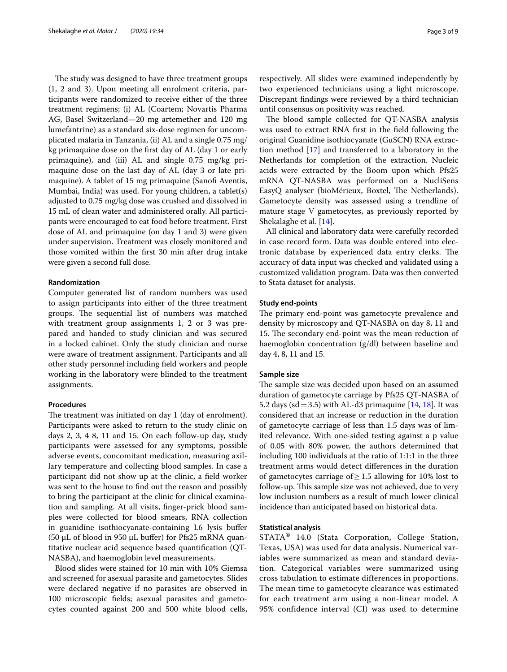The study was designed to have three treatment groups (1, 2 and 3). Upon meeting all enrolment criteria, participants were randomized to receive either of the three treatment regimens; (i) AL (Coartem; Novartis Pharma AG, Basel Switzerland—20 mg artemether and 120 mg lumefantrine) as a standard six-dose regimen for uncomplicated malaria in Tanzania, (ii) AL and a single 0.75 mg/ kg primaquine dose on the frst day of AL (day 1 or early primaquine), and (iii) AL and single 0.75 mg/kg primaquine dose on the last day of AL (day 3 or late primaquine). A tablet of 15 mg primaquine (Sanofi Aventis, Mumbai, India) was used. For young children, a tablet(s) adjusted to 0.75 mg/kg dose was crushed and dissolved in 15 mL of clean water and administered orally. All participants were encouraged to eat food before treatment. First dose of AL and primaquine (on day 1 and 3) were given under supervision. Treatment was closely monitored and those vomited within the frst 30 min after drug intake were given a second full dose.

#### **Randomization**

Computer generated list of random numbers was used to assign participants into either of the three treatment groups. The sequential list of numbers was matched with treatment group assignments 1, 2 or 3 was prepared and handed to study clinician and was secured in a locked cabinet. Only the study clinician and nurse were aware of treatment assignment. Participants and all other study personnel including feld workers and people working in the laboratory were blinded to the treatment assignments.

# **Procedures**

The treatment was initiated on day 1 (day of enrolment). Participants were asked to return to the study clinic on days 2, 3, 4 8, 11 and 15. On each follow-up day, study participants were assessed for any symptoms, possible adverse events, concomitant medication, measuring axillary temperature and collecting blood samples. In case a participant did not show up at the clinic, a feld worker was sent to the house to fnd out the reason and possibly to bring the participant at the clinic for clinical examination and sampling. At all visits, fnger-prick blood samples were collected for blood smears, RNA collection in guanidine isothiocyanate-containing L6 lysis bufer (50  $\mu$ L of blood in 950  $\mu$ L buffer) for Pfs25 mRNA quantitative nuclear acid sequence based quantifcation (QT-NASBA), and haemoglobin level measurements.

Blood slides were stained for 10 min with 10% Giemsa and screened for asexual parasite and gametocytes. Slides were declared negative if no parasites are observed in 100 microscopic felds; asexual parasites and gametocytes counted against 200 and 500 white blood cells, respectively. All slides were examined independently by two experienced technicians using a light microscope. Discrepant fndings were reviewed by a third technician until consensus on positivity was reached.

The blood sample collected for QT-NASBA analysis was used to extract RNA frst in the feld following the original Guanidine isothiocyanate (GuSCN) RNA extraction method [\[17](#page-8-4)] and transferred to a laboratory in the Netherlands for completion of the extraction. Nucleic acids were extracted by the Boom upon which Pfs25 mRNA QT-NASBA was performed on a NucliSens EasyQ analyser (bioMérieux, Boxtel, The Netherlands). Gametocyte density was assessed using a trendline of mature stage V gametocytes, as previously reported by Shekalaghe et al. [[14\]](#page-8-1).

All clinical and laboratory data were carefully recorded in case record form. Data was double entered into electronic database by experienced data entry clerks. The accuracy of data input was checked and validated using a customized validation program. Data was then converted to Stata dataset for analysis.

#### **Study end‑points**

The primary end-point was gametocyte prevalence and density by microscopy and QT-NASBA on day 8, 11 and 15. The secondary end-point was the mean reduction of haemoglobin concentration (g/dl) between baseline and day 4, 8, 11 and 15.

# **Sample size**

The sample size was decided upon based on an assumed duration of gametocyte carriage by Pfs25 QT-NASBA of 5.2 days (sd = 3.5) with AL-d3 primaguine  $[14, 18]$  $[14, 18]$  $[14, 18]$ . It was considered that an increase or reduction in the duration of gametocyte carriage of less than 1.5 days was of limited relevance. With one-sided testing against a p value of 0.05 with 80% power, the authors determined that including 100 individuals at the ratio of 1:1:1 in the three treatment arms would detect diferences in the duration of gametocytes carriage of  $\geq$  1.5 allowing for 10% lost to follow-up. This sample size was not achieved, due to very low inclusion numbers as a result of much lower clinical incidence than anticipated based on historical data.

# **Statistical analysis**

STATA® 14.0 (Stata Corporation, College Station, Texas, USA) was used for data analysis. Numerical variables were summarized as mean and standard deviation. Categorical variables were summarized using cross tabulation to estimate differences in proportions. The mean time to gametocyte clearance was estimated for each treatment arm using a non-linear model. A 95% confidence interval (CI) was used to determine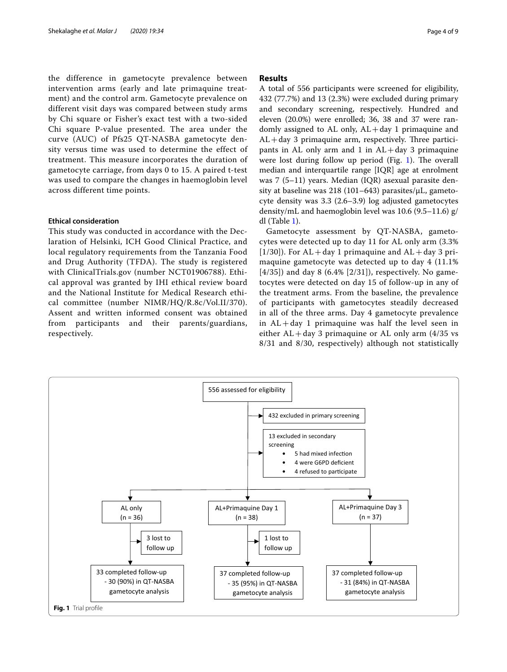the difference in gametocyte prevalence between intervention arms (early and late primaquine treatment) and the control arm. Gametocyte prevalence on different visit days was compared between study arms by Chi square or Fisher's exact test with a two-sided Chi square P-value presented. The area under the curve (AUC) of Pfs25 QT-NASBA gametocyte density versus time was used to determine the effect of treatment. This measure incorporates the duration of gametocyte carriage, from days 0 to 15. A paired t-test was used to compare the changes in haemoglobin level across different time points.

### **Ethical consideration**

This study was conducted in accordance with the Declaration of Helsinki, ICH Good Clinical Practice, and local regulatory requirements from the Tanzania Food and Drug Authority (TFDA). The study is registered with ClinicalTrials.gov (number NCT01906788). Ethical approval was granted by IHI ethical review board and the National Institute for Medical Research ethical committee (number NIMR/HQ/R.8c/Vol.II/370). Assent and written informed consent was obtained from participants and their parents/guardians, respectively.

# **Results**

A total of 556 participants were screened for eligibility, 432 (77.7%) and 13 (2.3%) were excluded during primary and secondary screening, respectively. Hundred and eleven (20.0%) were enrolled; 36, 38 and 37 were randomly assigned to AL only,  $AL + day 1$  primaquine and  $AL + day$  3 primaquine arm, respectively. Three participants in AL only arm and 1 in  $AL + day$  3 primaguine were lost during follow up period (Fig.  $1$ ). The overall median and interquartile range [IQR] age at enrolment was 7 (5–11) years. Median (IQR) asexual parasite density at baseline was  $218(101-643)$  parasites/ $\mu$ L, gametocyte density was 3.3 (2.6–3.9) log adjusted gametocytes density/mL and haemoglobin level was 10.6 (9.5–11.6) g/ dl (Table [1\)](#page-4-0).

Gametocyte assessment by QT-NASBA, gametocytes were detected up to day 11 for AL only arm (3.3%  $[1/30]$ ). For AL + day 1 primaquine and AL + day 3 primaquine gametocyte was detected up to day 4 (11.1%  $[4/35]$ ) and day 8 (6.4%  $[2/31]$ ), respectively. No gametocytes were detected on day 15 of follow-up in any of the treatment arms. From the baseline, the prevalence of participants with gametocytes steadily decreased in all of the three arms. Day 4 gametocyte prevalence in  $AL + day 1$  primaquine was half the level seen in either  $AL + day 3$  primaquine or  $AL$  only arm (4/35 vs 8/31 and 8/30, respectively) although not statistically

<span id="page-3-0"></span>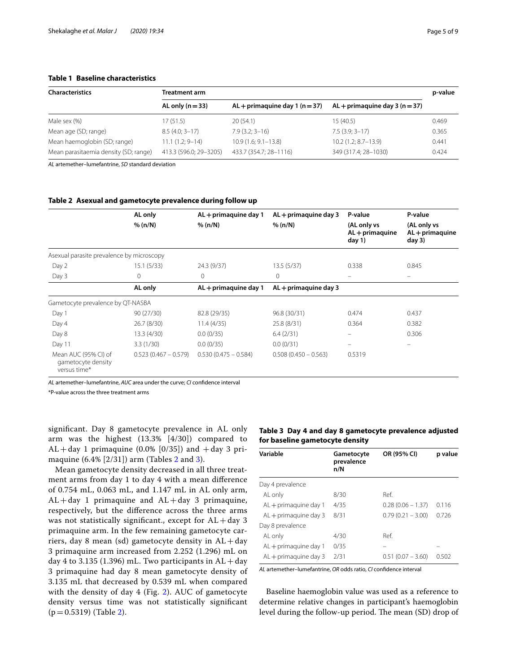# <span id="page-4-0"></span>**Table 1 Baseline characteristics**

| <b>Characteristics</b>                | Treatment arm          |                                  |                                   |       |  |
|---------------------------------------|------------------------|----------------------------------|-----------------------------------|-------|--|
|                                       | AL only $(n=33)$       | $AL +$ primaguine day 1 (n = 37) | $AL + prima$ quine day 3 (n = 37) |       |  |
| Male sex (%)                          | 17 (51.5)              | 20(54.1)                         | 15 (40.5)                         | 0.469 |  |
| Mean age (SD; range)                  | $8.5(4.0; 3 - 17)$     | $7.9(3.2; 3 - 16)$               | $7.5(3.9; 3 - 17)$                | 0.365 |  |
| Mean haemoglobin (SD; range)          | $11.1(1.2; 9-14)$      | $10.9(1.6; 9.1 - 13.8)$          | $10.2(1.2; 8.7-13.9)$             | 0.441 |  |
| Mean parasitaemia density (SD; range) | 413.3 (596.0; 29-3205) | 433.7 (354.7; 28-1116)           | 349 (317.4; 28-1030)              | 0.424 |  |

*AL* artemether–lumefantrine, *SD* standard deviation

#### <span id="page-4-1"></span>**Table 2 Asexual and gametocyte prevalence during follow up**

|                                                            | AL only                | AL + primaquine day 1  | $AL +$ primaquine day 3 | P-value                                    | P-value                                    |
|------------------------------------------------------------|------------------------|------------------------|-------------------------|--------------------------------------------|--------------------------------------------|
|                                                            | % (n/N)                | % (n/N)                | % (n/N)                 | (AL only vs<br>$AL +$ primaquine<br>day 1) | (AL only vs<br>$AL + primaguine$<br>day 3) |
| Asexual parasite prevalence by microscopy                  |                        |                        |                         |                                            |                                            |
| Day 2                                                      | 15.1(5/33)             | 24.3 (9/37)            | 13.5(5/37)              | 0.338                                      | 0.845                                      |
| Day 3                                                      | $\mathbf{0}$           | $\mathbf{0}$           | $\mathbf{0}$            |                                            |                                            |
|                                                            | AL only                | AL + primaquine day 1  | AL + primaquine day 3   |                                            |                                            |
| Gametocyte prevalence by QT-NASBA                          |                        |                        |                         |                                            |                                            |
| Day 1                                                      | 90(27/30)              | 82.8 (29/35)           | 96.8 (30/31)            | 0.474                                      | 0.437                                      |
| Day 4                                                      | 26.7(8/30)             | 11.4(4/35)             | 25.8 (8/31)             | 0.364                                      | 0.382                                      |
| Day 8                                                      | 13.3(4/30)             | 0.0(0/35)              | 6.4(2/31)               | $\equiv$                                   | 0.306                                      |
| Day 11                                                     | 3.3(1/30)              | 0.0(0/35)              | 0.0(0/31)               |                                            |                                            |
| Mean AUC (95% CI) of<br>gametocyte density<br>versus time* | $0.523(0.467 - 0.579)$ | $0.530(0.475 - 0.584)$ | $0.508(0.450 - 0.563)$  | 0.5319                                     |                                            |

*AL* artemether–lumefantrine, *AUC* area under the curve; *CI* confdence interval

\*P-value across the three treatment arms

signifcant. Day 8 gametocyte prevalence in AL only arm was the highest (13.3% [4/30]) compared to  $AL + day 1$  primaquine (0.0% [0/35]) and  $+ day 3$  primaquine (6.4% [2/31]) arm (Tables [2](#page-4-1) and [3](#page-4-2)).

Mean gametocyte density decreased in all three treatment arms from day 1 to day 4 with a mean diference of 0.754 mL, 0.063 mL, and 1.147 mL in AL only arm,  $AL + day$  1 primaquine and  $AL + day$  3 primaquine, respectively, but the diference across the three arms was not statistically significant., except for  $AL + day$  3 primaquine arm. In the few remaining gametocyte carriers, day 8 mean (sd) gametocyte density in  $AL + day$ 3 primaquine arm increased from 2.252 (1.296) mL on day 4 to 3.135 (1.396) mL. Two participants in  $AL + day$ 3 primaquine had day 8 mean gametocyte density of 3.135 mL that decreased by 0.539 mL when compared with the density of day 4 (Fig. [2](#page-5-0)). AUC of gametocyte density versus time was not statistically signifcant  $(p=0.5319)$  (Table [2](#page-4-1)).

# <span id="page-4-2"></span>**Table 3 Day 4 and day 8 gametocyte prevalence adjusted for baseline gametocyte density**

| Variable                | Gametocyte<br>prevalence<br>n/N | OR (95% CI)         | p value |
|-------------------------|---------------------------------|---------------------|---------|
| Day 4 prevalence        |                                 |                     |         |
| AL only                 | 8/30                            | Ref.                |         |
| $AL +$ primaquine day 1 | 4/35                            | $0.28(0.06 - 1.37)$ | 0.116   |
| $AL +$ primaguine day 3 | 8/31                            | $0.79(0.21 - 3.00)$ | 0.726   |
| Day 8 prevalence        |                                 |                     |         |
| AL only                 | 4/30                            | Ref.                |         |
| AL + primaguine day 1   | 0/35                            |                     |         |
| $AL +$ primaguine day 3 | 2/31                            | $0.51(0.07 - 3.60)$ | 0.502   |

*AL* artemether–lumefantrine, *OR* odds ratio, *CI* confdence interval

Baseline haemoglobin value was used as a reference to determine relative changes in participant's haemoglobin level during the follow-up period. The mean (SD) drop of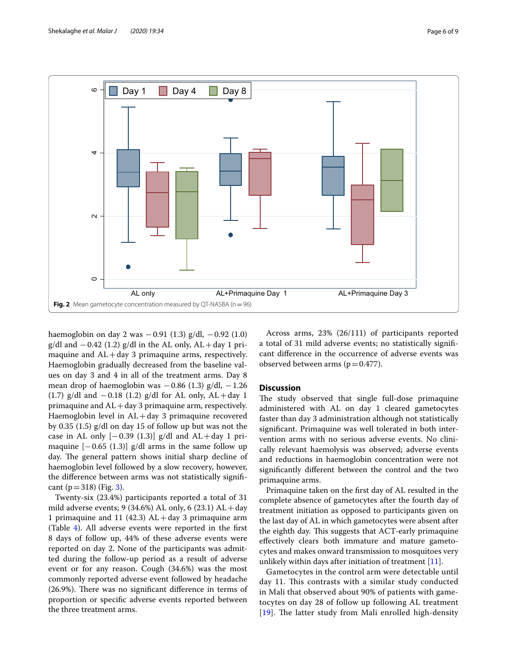

<span id="page-5-0"></span>haemoglobin on day 2 was  $-0.91$  (1.3) g/dl,  $-0.92$  (1.0) g/dl and  $-0.42$  (1.2) g/dl in the AL only, AL + day 1 primaquine and  $AL + day$  3 primaquine arms, respectively. Haemoglobin gradually decreased from the baseline values on day 3 and 4 in all of the treatment arms. Day 8 mean drop of haemoglobin was  $-0.86$  (1.3) g/dl,  $-1.26$ (1.7) g/dl and  $-0.18$  (1.2) g/dl for AL only, AL + day 1 primaquine and  $AL + day 3$  primaquine arm, respectively. Haemoglobin level in  $AL + day$  3 primaquine recovered by 0.35 (1.5) g/dl on day 15 of follow up but was not the case in AL only  $[-0.39 (1.3)]$  g/dl and AL+day 1 primaquine  $[-0.65 (1.3)]$  g/dl arms in the same follow up day. The general pattern shows initial sharp decline of haemoglobin level followed by a slow recovery, however, the diference between arms was not statistically signifcant ( $p = 318$ ) (Fig. [3\)](#page-6-0).

Twenty-six (23.4%) participants reported a total of 31 mild adverse events; 9 (34.6%) AL only, 6 (23.1)  $AL + day$ 1 primaquine and 11 (42.3)  $AL + day$  3 primaquine arm (Table [4](#page-6-1)). All adverse events were reported in the frst 8 days of follow up, 44% of these adverse events were reported on day 2. None of the participants was admitted during the follow-up period as a result of adverse event or for any reason. Cough (34.6%) was the most commonly reported adverse event followed by headache  $(26.9\%)$ . There was no significant difference in terms of proportion or specifc adverse events reported between the three treatment arms.

Across arms, 23% (26/111) of participants reported a total of 31 mild adverse events; no statistically signifcant diference in the occurrence of adverse events was observed between arms ( $p=0.477$ ).

# **Discussion**

The study observed that single full-dose primaquine administered with AL on day 1 cleared gametocytes faster than day 3 administration although not statistically signifcant. Primaquine was well tolerated in both intervention arms with no serious adverse events. No clinically relevant haemolysis was observed; adverse events and reductions in haemoglobin concentration were not signifcantly diferent between the control and the two primaquine arms.

Primaquine taken on the frst day of AL resulted in the complete absence of gametocytes after the fourth day of treatment initiation as opposed to participants given on the last day of AL in which gametocytes were absent after the eighth day. This suggests that ACT-early primaquine efectively clears both immature and mature gametocytes and makes onward transmission to mosquitoes very unlikely within days after initiation of treatment [[11](#page-7-10)].

Gametocytes in the control arm were detectable until day 11. This contrasts with a similar study conducted in Mali that observed about 90% of patients with gametocytes on day 28 of follow up following AL treatment [[19](#page-8-6)]. The latter study from Mali enrolled high-density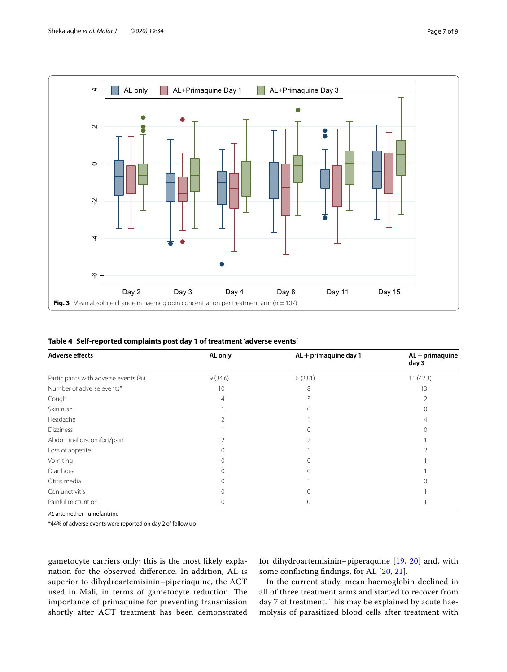

<span id="page-6-1"></span><span id="page-6-0"></span>

|  |  |  | Table 4 Self-reported complaints post day 1 of treatment 'adverse events' |
|--|--|--|---------------------------------------------------------------------------|
|  |  |  |                                                                           |

| <b>Adverse effects</b>               | AL only | AL + primaquine day 1 | $AL + primaguine$<br>day 3 |
|--------------------------------------|---------|-----------------------|----------------------------|
| Participants with adverse events (%) | 9(34.6) | 6(23.1)               | 11(42.3)                   |
| Number of adverse events*            | 10      | 8                     | 13                         |
| Cough                                | 4       |                       |                            |
| Skin rush                            |         |                       |                            |
| Headache                             |         |                       |                            |
| <b>Dizziness</b>                     |         |                       |                            |
| Abdominal discomfort/pain            |         |                       |                            |
| Loss of appetite                     |         |                       |                            |
| Vomiting                             |         | 0                     |                            |
| Diarrhoea                            |         |                       |                            |
| Otitis media                         |         |                       |                            |
| Conjunctivitis                       |         |                       |                            |
| Painful micturition                  |         |                       |                            |

*AL* artemether–lumefantrine

\*44% of adverse events were reported on day 2 of follow up

gametocyte carriers only; this is the most likely explanation for the observed diference. In addition, AL is superior to dihydroartemisinin–piperiaquine, the ACT used in Mali, in terms of gametocyte reduction. The importance of primaquine for preventing transmission shortly after ACT treatment has been demonstrated for dihydroartemisinin–piperaquine [\[19](#page-8-6), [20](#page-8-7)] and, with some conficting fndings, for AL [[20,](#page-8-7) [21\]](#page-8-8).

In the current study, mean haemoglobin declined in all of three treatment arms and started to recover from day 7 of treatment. This may be explained by acute haemolysis of parasitized blood cells after treatment with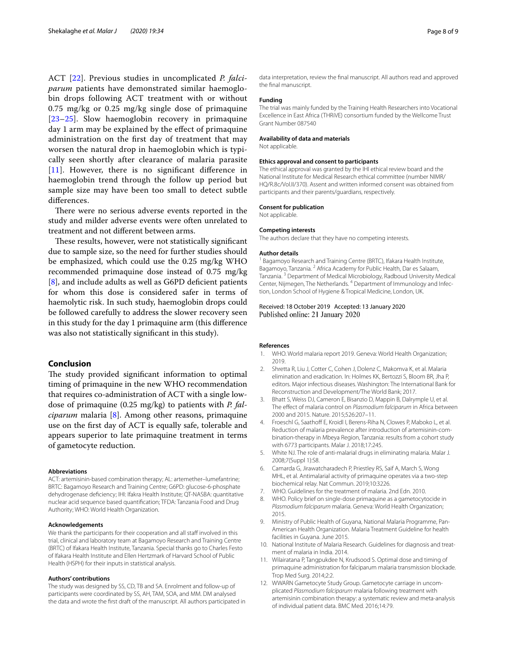ACT [[22\]](#page-8-9). Previous studies in uncomplicated *P. falciparum* patients have demonstrated similar haemoglobin drops following ACT treatment with or without 0.75 mg/kg or 0.25 mg/kg single dose of primaquine [[23](#page-8-10)[–25](#page-8-11)]. Slow haemoglobin recovery in primaquine day 1 arm may be explained by the efect of primaquine administration on the frst day of treatment that may worsen the natural drop in haemoglobin which is typically seen shortly after clearance of malaria parasite [[11](#page-7-10)]. However, there is no significant difference in haemoglobin trend through the follow up period but sample size may have been too small to detect subtle diferences.

There were no serious adverse events reported in the study and milder adverse events were often unrelated to treatment and not diferent between arms.

These results, however, were not statistically significant due to sample size, so the need for further studies should be emphasized, which could use the 0.25 mg/kg WHO recommended primaquine dose instead of 0.75 mg/kg [[8\]](#page-7-7), and include adults as well as G6PD deficient patients for whom this dose is considered safer in terms of haemolytic risk. In such study, haemoglobin drops could be followed carefully to address the slower recovery seen in this study for the day 1 primaquine arm (this diference was also not statistically signifcant in this study).

#### **Conclusion**

The study provided significant information to optimal timing of primaquine in the new WHO recommendation that requires co-administration of ACT with a single lowdose of primaquine (0.25 mg/kg) to patients with *P. falciparum* malaria [\[8](#page-7-7)]. Among other reasons, primaquine use on the frst day of ACT is equally safe, tolerable and appears superior to late primaquine treatment in terms of gametocyte reduction.

#### **Abbreviations**

ACT: artemisinin-based combination therapy; AL: artemether–lumefantrine; BRTC: Bagamoyo Research and Training Centre; G6PD: glucose-6-phosphate dehydrogenase defciency; IHI: Ifakra Health Institute; QT-NASBA: quantitative nuclear acid sequence based quantifcation; TFDA: Tanzania Food and Drug Authority; WHO: World Health Organization.

#### **Acknowledgements**

We thank the participants for their cooperation and all staff involved in this trial, clinical and laboratory team at Bagamoyo Research and Training Centre (BRTC) of Ifakara Health Institute, Tanzania. Special thanks go to Charles Festo of Ifakara Health Institute and Ellen Hertzmark of Harvard School of Public Health (HSPH) for their inputs in statistical analysis.

#### **Authors' contributions**

The study was designed by SS, CD, TB and SA. Enrolment and follow-up of participants were coordinated by SS, AH, TAM, SOA, and MM. DM analysed the data and wrote the frst draft of the manuscript. All authors participated in data interpretation, review the fnal manuscript. All authors read and approved the fnal manuscript.

# **Funding**

The trial was mainly funded by the Training Health Researchers into Vocational Excellence in East Africa (THRiVE) consortium funded by the Wellcome Trust Grant Number 087540

#### **Availability of data and materials**

Not applicable.

#### **Ethics approval and consent to participants**

The ethical approval was granted by the IHI ethical review board and the National Institute for Medical Research ethical committee (number NIMR/ HQ/R.8c/Vol.II/370). Assent and written informed consent was obtained from participants and their parents/guardians, respectively.

#### **Consent for publication**

Not applicable.

#### **Competing interests**

The authors declare that they have no competing interests.

#### **Author details**

<sup>1</sup> Bagamoyo Research and Training Centre (BRTC), Ifakara Health Institute, Bagamoyo, Tanzania. <sup>2</sup> Africa Academy for Public Health, Dar es Salaam, Tanzania. <sup>3</sup> Department of Medical Microbiology, Radboud University Medical Center, Nijmegen, The Netherlands. <sup>4</sup> Department of Immunology and Infection, London School of Hygiene & Tropical Medicine, London, UK.

### Received: 18 October 2019 Accepted: 13 January 2020 Published online: 21 January 2020

#### **References**

- <span id="page-7-0"></span>WHO. World malaria report 2019. Geneva: World Health Organization; 2019.
- <span id="page-7-1"></span>2. Shretta R, Liu J, Cotter C, Cohen J, Dolenz C, Makomva K, et al. Malaria elimination and eradication. In: Holmes KK, Bertozzi S, Bloom BR, Jha P, editors. Major infectious diseases. Washington: The International Bank for Reconstruction and Development/The World Bank; 2017.
- <span id="page-7-2"></span>3. Bhatt S, Weiss DJ, Cameron E, Bisanzio D, Mappin B, Dalrymple U, et al. The efect of malaria control on *Plasmodium falciparum* in Africa between 2000 and 2015. Nature. 2015;526:207–11.
- <span id="page-7-3"></span>4. Froeschl G, Saathoff E, Kroidl I, Berens-Riha N, Clowes P, Maboko L, et al. Reduction of malaria prevalence after introduction of artemisinin-combination-therapy in Mbeya Region, Tanzania: results from a cohort study with 6773 participants. Malar J. 2018;17:245.
- <span id="page-7-4"></span>5. White NJ. The role of anti-malarial drugs in eliminating malaria. Malar J. 2008;7(Suppl 1):S8.
- <span id="page-7-5"></span>6. Camarda G, Jirawatcharadech P, Priestley RS, Saif A, March S, Wong MHL, et al. Antimalarial activity of primaquine operates via a two-step biochemical relay. Nat Commun. 2019;10:3226.
- <span id="page-7-6"></span>7. WHO. Guidelines for the treatment of malaria. 2nd Edn. 2010.
- <span id="page-7-7"></span>WHO. Policy brief on single-dose primaquine as a gametocytocide in *Plasmodium falciparum* malaria. Geneva: World Health Organization; 2015.
- <span id="page-7-8"></span>9. Ministry of Public Health of Guyana, National Malaria Programme, Pan-American Health Organization. Malaria Treatment Guideline for health facilities in Guyana. June 2015.
- <span id="page-7-9"></span>10. National Institute of Malaria Research. Guidelines for diagnosis and treatment of malaria in India. 2014.
- <span id="page-7-10"></span>11. Wilairatana P, Tangpukdee N, Krudsood S. Optimal dose and timing of primaquine administration for falciparum malaria transmission blockade. Trop Med Surg. 2014;2:2.
- <span id="page-7-11"></span>12. WWARN Gametocyte Study Group. Gametocyte carriage in uncomplicated *Plasmodium falciparum* malaria following treatment with artemisinin combination therapy: a systematic review and meta-analysis of individual patient data. BMC Med. 2016;14:79.